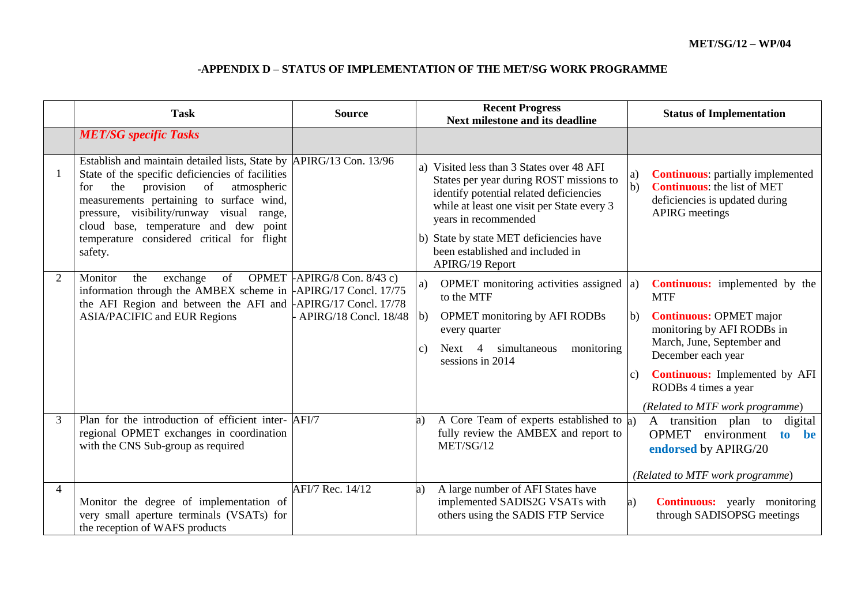|   | <b>Task</b>                                                                                                                                                                                                                                                                                                                                                         | <b>Source</b>                                           | <b>Recent Progress</b><br>Next milestone and its deadline                                                                                                                                                                                                                                               | <b>Status of Implementation</b>                                                                                                                                                                                                                                                                      |
|---|---------------------------------------------------------------------------------------------------------------------------------------------------------------------------------------------------------------------------------------------------------------------------------------------------------------------------------------------------------------------|---------------------------------------------------------|---------------------------------------------------------------------------------------------------------------------------------------------------------------------------------------------------------------------------------------------------------------------------------------------------------|------------------------------------------------------------------------------------------------------------------------------------------------------------------------------------------------------------------------------------------------------------------------------------------------------|
|   | <b>MET/SG</b> specific Tasks                                                                                                                                                                                                                                                                                                                                        |                                                         |                                                                                                                                                                                                                                                                                                         |                                                                                                                                                                                                                                                                                                      |
|   | Establish and maintain detailed lists, State by  APIRG/13 Con. 13/96<br>State of the specific deficiencies of facilities<br>the<br>provision<br>of<br>atmospheric<br>for<br>measurements pertaining to surface wind,<br>pressure, visibility/runway visual range,<br>cloud base, temperature and dew point<br>temperature considered critical for flight<br>safety. |                                                         | a) Visited less than 3 States over 48 AFI<br>States per year during ROST missions to<br>identify potential related deficiencies<br>while at least one visit per State every 3<br>years in recommended<br>b) State by state MET deficiencies have<br>been established and included in<br>APIRG/19 Report | <b>Continuous:</b> partially implemented<br>a)<br>$\mathbf{b}$<br><b>Continuous:</b> the list of MET<br>deficiencies is updated during<br><b>APIRG</b> meetings                                                                                                                                      |
| 2 | of<br>Monitor<br>the<br>exchange<br>information through the AMBEX scheme in $\text{APIRG/17}$ Concl. 17/75<br>the AFI Region and between the AFI and $APIRG/17$ Concl. 17/78<br><b>ASIA/PACIFIC and EUR Regions</b>                                                                                                                                                 | OPMET $APIRG/8$ Con. 8/43 c)<br>- APIRG/18 Concl. 18/48 | OPMET monitoring activities assigned $ a\rangle$<br>a)<br>to the MTF<br>  <sub>b</sub><br><b>OPMET</b> monitoring by AFI RODBs<br>every quarter<br>simultaneous<br>monitoring<br>Next 4<br>$\vert c)$<br>sessions in 2014                                                                               | <b>Continuous:</b> implemented by the<br><b>MTF</b><br><b>Continuous: OPMET major</b><br>b)<br>monitoring by AFI RODBs in<br>March, June, September and<br>December each year<br><b>Continuous:</b> Implemented by AFI<br>$\mathcal{C}$ )<br>RODBs 4 times a year<br>(Related to MTF work programme) |
| 3 | Plan for the introduction of efficient inter- AFI/7<br>regional OPMET exchanges in coordination<br>with the CNS Sub-group as required                                                                                                                                                                                                                               |                                                         | A Core Team of experts established to a)<br>a)<br>fully review the AMBEX and report to<br>MET/SG/12                                                                                                                                                                                                     | A transition plan to<br>digital<br><b>OPMET</b><br>environment<br>be<br>to<br>endorsed by APIRG/20<br>(Related to MTF work programme)                                                                                                                                                                |
| 4 | Monitor the degree of implementation of<br>very small aperture terminals (VSATs) for<br>the reception of WAFS products                                                                                                                                                                                                                                              | AFI/7 Rec. 14/12                                        | A large number of AFI States have<br>a)<br>implemented SADIS2G VSATs with<br>others using the SADIS FTP Service                                                                                                                                                                                         | <b>Continuous:</b> yearly monitoring<br>a)<br>through SADISOPSG meetings                                                                                                                                                                                                                             |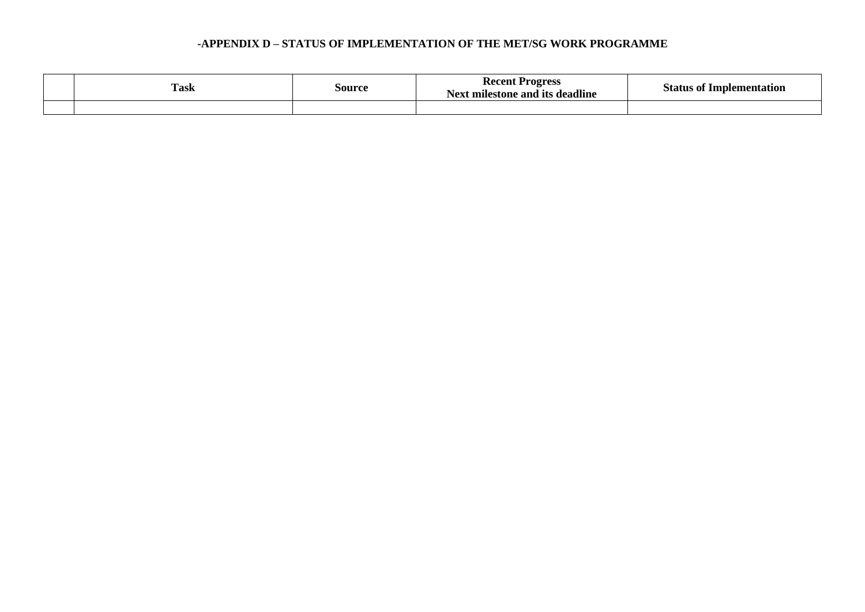| <b>Task</b> | source | Recent<br><b>Progress</b><br>. CDC<br>Next milestone and its deadline | <b>Implementation</b><br>statur |
|-------------|--------|-----------------------------------------------------------------------|---------------------------------|
|             |        |                                                                       |                                 |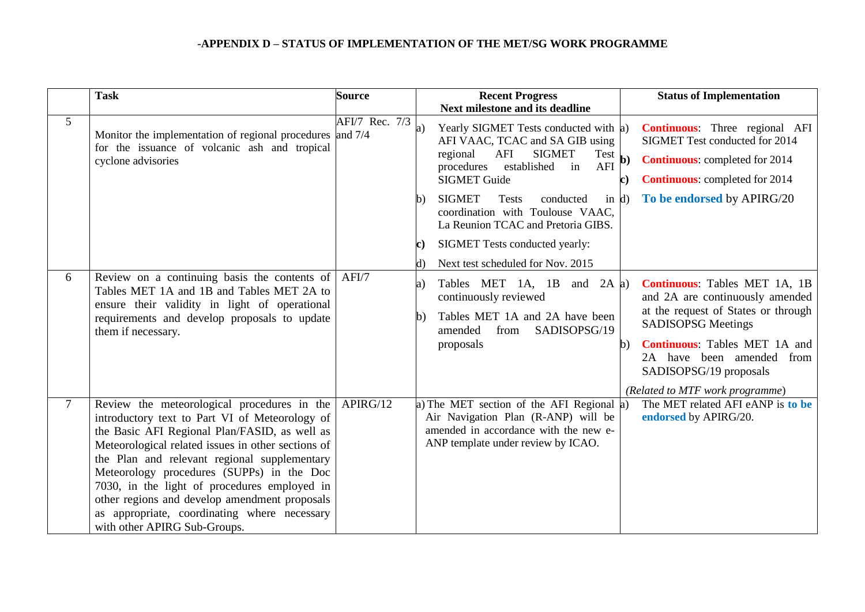|                | <b>Task</b>                                                                                                                                                                                                                                                                                                                                                                                                                                                                        | <b>Source</b>  | <b>Recent Progress</b>                                                                                                                                                                                                                | <b>Status of Implementation</b>                                                                                                                                                                                                                                               |
|----------------|------------------------------------------------------------------------------------------------------------------------------------------------------------------------------------------------------------------------------------------------------------------------------------------------------------------------------------------------------------------------------------------------------------------------------------------------------------------------------------|----------------|---------------------------------------------------------------------------------------------------------------------------------------------------------------------------------------------------------------------------------------|-------------------------------------------------------------------------------------------------------------------------------------------------------------------------------------------------------------------------------------------------------------------------------|
| 5 <sup>5</sup> | Monitor the implementation of regional procedures and 7/4<br>for the issuance of volcanic ash and tropical<br>cyclone advisories                                                                                                                                                                                                                                                                                                                                                   | AFI/7 Rec. 7/3 | <b>Next milestone and its deadline</b><br>a)<br>Yearly SIGMET Tests conducted with a)<br>AFI VAAC, TCAC and SA GIB using<br>AFI<br><b>SIGMET</b><br>regional<br>Test<br>procedures<br>established<br>AFI<br>in<br><b>SIGMET Guide</b> | <b>Continuous:</b> Three regional AFI<br>SIGMET Test conducted for 2014<br><b>Continuous:</b> completed for 2014<br><b>Continuous:</b> completed for 2014<br>C)                                                                                                               |
|                |                                                                                                                                                                                                                                                                                                                                                                                                                                                                                    |                | <b>SIGMET</b><br><b>Tests</b><br>conducted<br>in $d$<br>b)<br>coordination with Toulouse VAAC,<br>La Reunion TCAC and Pretoria GIBS.<br>SIGMET Tests conducted yearly:<br>C)<br>Next test scheduled for Nov. 2015<br>d)               | To be endorsed by APIRG/20                                                                                                                                                                                                                                                    |
| 6              | Review on a continuing basis the contents of<br>Tables MET 1A and 1B and Tables MET 2A to<br>ensure their validity in light of operational<br>requirements and develop proposals to update<br>them if necessary.                                                                                                                                                                                                                                                                   | AFI/7          | Tables MET 1A, 1B and 2A $ a $<br>a)<br>continuously reviewed<br>Tables MET 1A and 2A have been<br>b)<br>amended<br>from<br>SADISOPSG/19<br>proposals                                                                                 | <b>Continuous:</b> Tables MET 1A, 1B<br>and 2A are continuously amended<br>at the request of States or through<br><b>SADISOPSG Meetings</b><br><b>Continuous:</b> Tables MET 1A and<br>2A have been amended from<br>SADISOPSG/19 proposals<br>(Related to MTF work programme) |
| $\tau$         | Review the meteorological procedures in the<br>introductory text to Part VI of Meteorology of<br>the Basic AFI Regional Plan/FASID, as well as<br>Meteorological related issues in other sections of<br>the Plan and relevant regional supplementary<br>Meteorology procedures (SUPPs) in the Doc<br>7030, in the light of procedures employed in<br>other regions and develop amendment proposals<br>as appropriate, coordinating where necessary<br>with other APIRG Sub-Groups. | APIRG/12       | a) The MET section of the AFI Regional a)<br>Air Navigation Plan (R-ANP) will be<br>amended in accordance with the new e-<br>ANP template under review by ICAO.                                                                       | The MET related AFI eANP is to be<br>endorsed by APIRG/20.                                                                                                                                                                                                                    |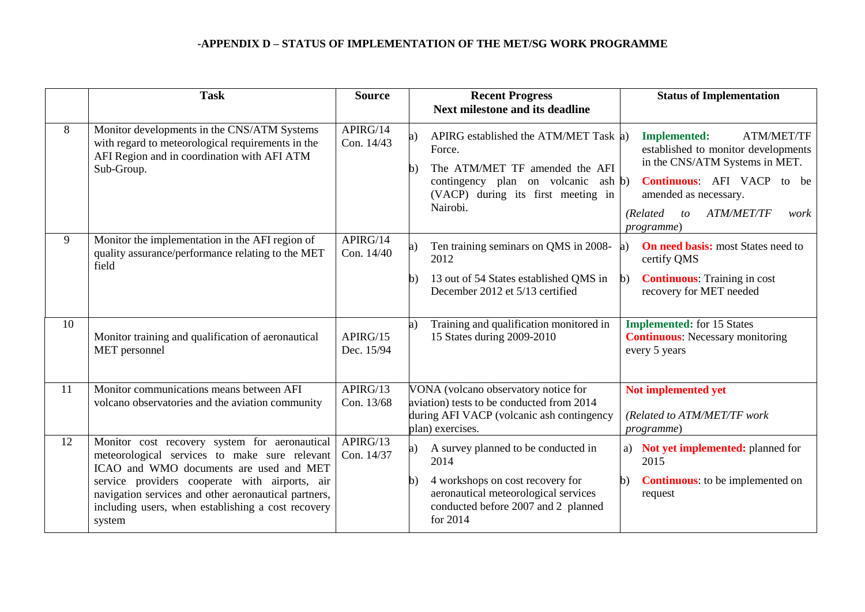|    | <b>Task</b>                                                                                                                                                                                                                                                                                                         | <b>Source</b>          | <b>Recent Progress</b><br><b>Next milestone and its deadline</b>                                                                                                                                 | <b>Status of Implementation</b>                                                                                                                                                                                                                     |
|----|---------------------------------------------------------------------------------------------------------------------------------------------------------------------------------------------------------------------------------------------------------------------------------------------------------------------|------------------------|--------------------------------------------------------------------------------------------------------------------------------------------------------------------------------------------------|-----------------------------------------------------------------------------------------------------------------------------------------------------------------------------------------------------------------------------------------------------|
| 8  | Monitor developments in the CNS/ATM Systems<br>with regard to meteorological requirements in the<br>AFI Region and in coordination with AFI ATM<br>Sub-Group.                                                                                                                                                       | APIRG/14<br>Con. 14/43 | APIRG established the ATM/MET Task a)<br>a)<br>Force.<br>The ATM/MET TF amended the AFI<br>b)<br>contingency plan on volcanic<br>ash b)<br>(VACP) during its first meeting in<br>Nairobi.        | <b>Implemented:</b><br><b>ATM/MET/TF</b><br>established to monitor developments<br>in the CNS/ATM Systems in MET.<br><b>Continuous:</b> AFI VACP to be<br>amended as necessary.<br><b>ATM/MET/TF</b><br>(Related)<br>$\omega$<br>work<br>programme) |
| 9  | Monitor the implementation in the AFI region of<br>quality assurance/performance relating to the MET<br>field                                                                                                                                                                                                       | APIRG/14<br>Con. 14/40 | Ten training seminars on QMS in 2008-<br>a)<br>2012<br>13 out of 54 States established QMS in<br>$\mathbf{b}$<br>December 2012 et 5/13 certified                                                 | <b>On need basis:</b> most States need to<br>a)<br>certify QMS<br><b>Continuous:</b> Training in cost<br>$\mathbf{b}$<br>recovery for MET needed                                                                                                    |
| 10 | Monitor training and qualification of aeronautical<br>MET personnel                                                                                                                                                                                                                                                 | APIRG/15<br>Dec. 15/94 | Training and qualification monitored in<br>a)<br>15 States during 2009-2010                                                                                                                      | <b>Implemented:</b> for 15 States<br><b>Continuous:</b> Necessary monitoring<br>every 5 years                                                                                                                                                       |
| 11 | Monitor communications means between AFI<br>volcano observatories and the aviation community                                                                                                                                                                                                                        | APIRG/13<br>Con. 13/68 | VONA (volcano observatory notice for<br>aviation) tests to be conducted from 2014<br>during AFI VACP (volcanic ash contingency<br>plan) exercises.                                               | Not implemented yet<br>(Related to ATM/MET/TF work<br>programme)                                                                                                                                                                                    |
| 12 | Monitor cost recovery system for aeronautical<br>meteorological services to make sure relevant<br>ICAO and WMO documents are used and MET<br>service providers cooperate with airports, air<br>navigation services and other aeronautical partners,<br>including users, when establishing a cost recovery<br>system | APIRG/13<br>Con. 14/37 | A survey planned to be conducted in<br>a)<br>2014<br>4 workshops on cost recovery for<br>$\mathbf{b}$<br>aeronautical meteorological services<br>conducted before 2007 and 2 planned<br>for 2014 | a) Not yet implemented: planned for<br>2015<br><b>Continuous:</b> to be implemented on<br>$\mathbf{b}$<br>request                                                                                                                                   |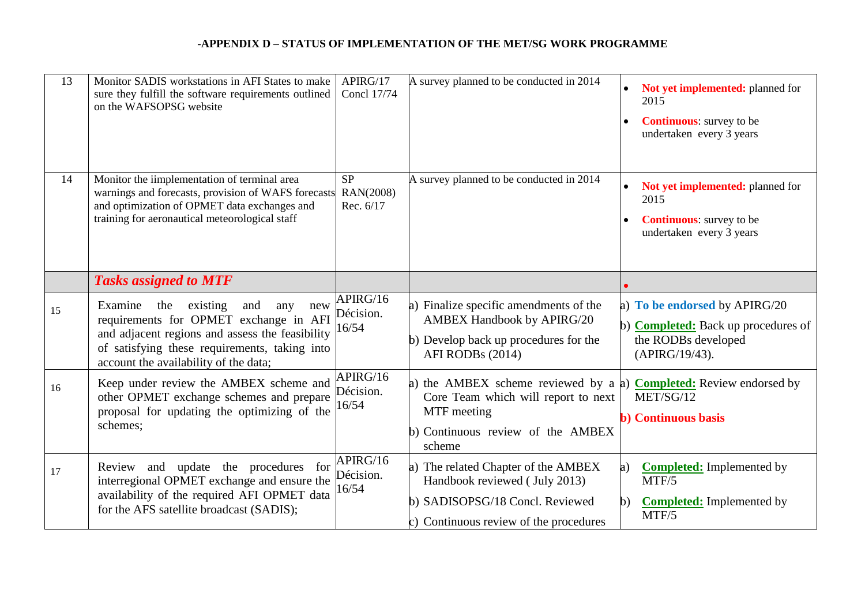| 13 | Monitor SADIS workstations in AFI States to make<br>sure they fulfill the software requirements outlined<br>on the WAFSOPSG website                                                                                                    | APIRG/17<br><b>Concl 17/74</b>      | A survey planned to be conducted in 2014                                                                                                                                       | Not yet implemented: planned for<br>2015<br><b>Continuous:</b> survey to be<br>undertaken every 3 years       |
|----|----------------------------------------------------------------------------------------------------------------------------------------------------------------------------------------------------------------------------------------|-------------------------------------|--------------------------------------------------------------------------------------------------------------------------------------------------------------------------------|---------------------------------------------------------------------------------------------------------------|
| 14 | Monitor the iimplementation of terminal area<br>warnings and forecasts, provision of WAFS forecasts<br>and optimization of OPMET data exchanges and<br>training for aeronautical meteorological staff                                  | <b>SP</b><br>RAN(2008)<br>Rec. 6/17 | A survey planned to be conducted in 2014                                                                                                                                       | Not yet implemented: planned for<br>2015<br><b>Continuous:</b> survey to be<br>undertaken every 3 years       |
|    | <b>Tasks assigned to MTF</b>                                                                                                                                                                                                           |                                     |                                                                                                                                                                                |                                                                                                               |
| 15 | Examine<br>existing<br>the<br>and<br>new<br>any<br>requirements for OPMET exchange in AFI<br>and adjacent regions and assess the feasibility<br>of satisfying these requirements, taking into<br>account the availability of the data; | APIRG/16<br>Décision.<br>16/54      | a) Finalize specific amendments of the<br><b>AMBEX Handbook by APIRG/20</b><br>b) Develop back up procedures for the<br>AFI RODBs (2014)                                       | a) To be endorsed by APIRG/20<br>b) Completed: Back up procedures of<br>the RODBs developed<br>(APIRG/19/43). |
| 16 | Keep under review the AMBEX scheme and<br>other OPMET exchange schemes and prepare<br>proposal for updating the optimizing of the<br>schemes;                                                                                          | APIRG/16<br>Décision.<br>16/54      | a) the AMBEX scheme reviewed by a a) <b>Completed:</b> Review endorsed by<br>Core Team which will report to next<br>MTF meeting<br>b) Continuous review of the AMBEX<br>scheme | MET/SG/12<br><b>b</b> ) Continuous basis                                                                      |
| 17 | Review and update the procedures for<br>interregional OPMET exchange and ensure the<br>availability of the required AFI OPMET data<br>for the AFS satellite broadcast (SADIS);                                                         | APIRG/16<br>Décision.<br>16/54      | a) The related Chapter of the AMBEX<br>Handbook reviewed (July 2013)<br>b) SADISOPSG/18 Concl. Reviewed<br>c) Continuous review of the procedures                              | <b>Completed:</b> Implemented by<br>a)<br>MTF/5<br><b>Completed:</b> Implemented by<br>$\mathbf{b}$<br>MTF/5  |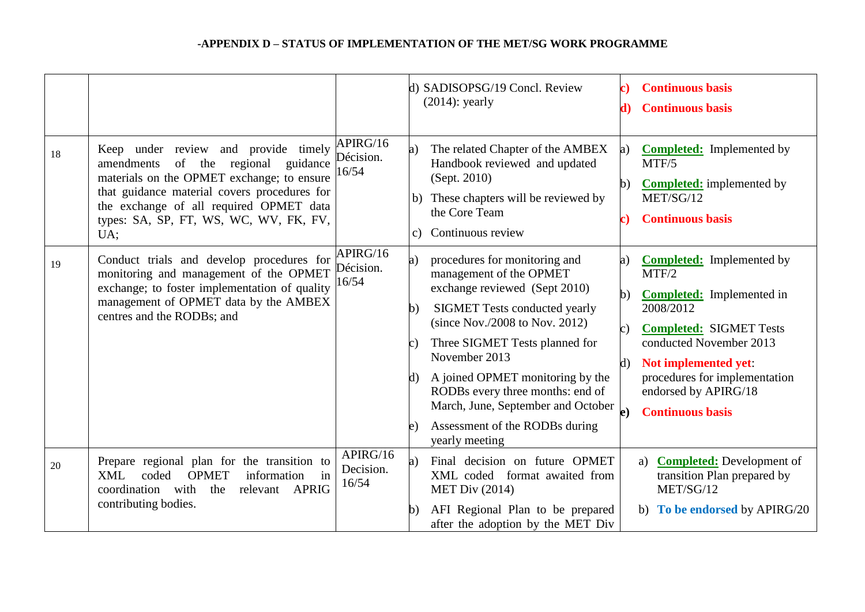|    |                                                                                                                                                                                                                                                                          |                                | d) SADISOPSG/19 Concl. Review<br><b>Continuous basis</b><br>c)  <br>$(2014)$ : yearly<br><b>Continuous basis</b><br>d)                                                                                                                                                                                                                                                                                                                                                                                                                                                                                                                                                                                                                                 |
|----|--------------------------------------------------------------------------------------------------------------------------------------------------------------------------------------------------------------------------------------------------------------------------|--------------------------------|--------------------------------------------------------------------------------------------------------------------------------------------------------------------------------------------------------------------------------------------------------------------------------------------------------------------------------------------------------------------------------------------------------------------------------------------------------------------------------------------------------------------------------------------------------------------------------------------------------------------------------------------------------------------------------------------------------------------------------------------------------|
| 18 | Keep under review and provide timely<br>amendments of the regional<br>guidance<br>materials on the OPMET exchange; to ensure<br>that guidance material covers procedures for<br>the exchange of all required OPMET data<br>types: SA, SP, FT, WS, WC, WV, FK, FV,<br>UA; | APIRG/16<br>Décision.<br>16/54 | The related Chapter of the AMBEX<br><b>Completed:</b> Implemented by<br>a)<br>a)<br>Handbook reviewed and updated<br>MTF/5<br>(Sept. 2010)<br><b>Completed:</b> implemented by<br>$\mathbf{b}$<br>b) These chapters will be reviewed by<br>MET/SG/12<br>the Core Team<br><b>Continuous basis</b><br>c).<br>Continuous review<br>$\mathbf{c}$                                                                                                                                                                                                                                                                                                                                                                                                           |
| 19 | Conduct trials and develop procedures for<br>monitoring and management of the OPMET<br>exchange; to foster implementation of quality<br>management of OPMET data by the AMBEX<br>centres and the RODBs; and                                                              | APIRG/16<br>Décision.<br>16/54 | procedures for monitoring and<br><b>Completed:</b> Implemented by<br>a)<br>a)<br>MTF/2<br>management of the OPMET<br>exchange reviewed (Sept 2010)<br><b>Completed:</b> Implemented in<br>$\mathbf{b}$<br><b>SIGMET Tests conducted yearly</b><br>2008/2012<br>b)<br>(since Nov./2008 to Nov. 2012)<br><b>Completed: SIGMET Tests</b><br>$\mathbf{c})$<br>conducted November 2013<br>Three SIGMET Tests planned for<br>C.<br>November 2013<br>Not implemented yet:<br>d)<br>A joined OPMET monitoring by the<br>procedures for implementation<br>d)<br>endorsed by APIRG/18<br>RODBs every three months: end of<br>March, June, September and October<br>$\bf{e}$<br><b>Continuous basis</b><br>Assessment of the RODBs during<br>e)<br>yearly meeting |
| 20 | Prepare regional plan for the transition to<br><b>OPMET</b><br>coded<br>information<br>in<br><b>XML</b><br>coordination<br>with<br>the<br>relevant<br><b>APRIG</b><br>contributing bodies.                                                                               | APIRG/16<br>Decision.<br>16/54 | Final decision on future OPMET<br><b>Completed:</b> Development of<br>a)<br>a)<br>transition Plan prepared by<br>XML coded format awaited from<br>MET/SG/12<br><b>MET Div (2014)</b><br>AFI Regional Plan to be prepared<br>b) To be endorsed by APIRG/20<br>b)<br>after the adoption by the MET Div                                                                                                                                                                                                                                                                                                                                                                                                                                                   |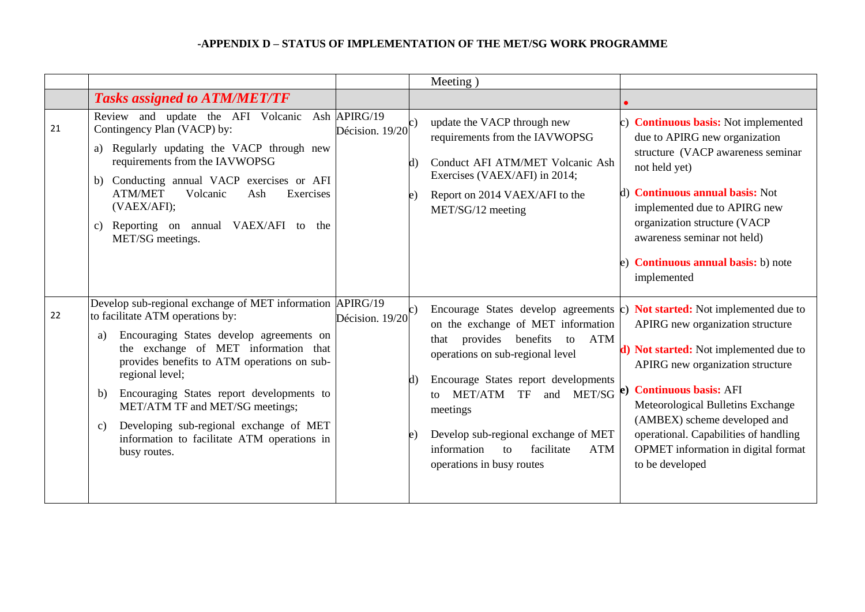|    |                                                                                                                                                                                                                                                                                                                                                                                                                                                                            |                                             | Meeting)                                                                                                                                                                                                                                                                                                                                                                                                                              |                                                                                                                                                                                                                                                                                                                                   |
|----|----------------------------------------------------------------------------------------------------------------------------------------------------------------------------------------------------------------------------------------------------------------------------------------------------------------------------------------------------------------------------------------------------------------------------------------------------------------------------|---------------------------------------------|---------------------------------------------------------------------------------------------------------------------------------------------------------------------------------------------------------------------------------------------------------------------------------------------------------------------------------------------------------------------------------------------------------------------------------------|-----------------------------------------------------------------------------------------------------------------------------------------------------------------------------------------------------------------------------------------------------------------------------------------------------------------------------------|
|    | <b>Tasks assigned to ATM/MET/TF</b>                                                                                                                                                                                                                                                                                                                                                                                                                                        |                                             |                                                                                                                                                                                                                                                                                                                                                                                                                                       |                                                                                                                                                                                                                                                                                                                                   |
| 21 | Review and update the AFI Volcanic<br>Contingency Plan (VACP) by:<br>Regularly updating the VACP through new<br>a)<br>requirements from the IAVWOPSG<br>b) Conducting annual VACP exercises or AFI<br>Volcanic<br><b>ATM/MET</b><br>Exercises<br>Ash<br>(VAEX/AFI);<br>Reporting on annual VAEX/AFI to the<br>c)<br>MET/SG meetings.                                                                                                                                       | Ash APIRG/19<br>Décision. 19/20<br>d)<br>e) | update the VACP through new<br>requirements from the IAVWOPSG<br>Conduct AFI ATM/MET Volcanic Ash<br>Exercises (VAEX/AFI) in 2014;<br>Report on 2014 VAEX/AFI to the<br>MET/SG/12 meeting                                                                                                                                                                                                                                             | c) <b>Continuous basis:</b> Not implemented<br>due to APIRG new organization<br>structure (VACP awareness seminar<br>not held yet)<br>d) <b>Continuous annual basis:</b> Not<br>implemented due to APIRG new<br>organization structure (VACP<br>awareness seminar not held)<br>e) Continuous annual basis: b) note<br>implemented |
| 22 | Develop sub-regional exchange of MET information APIRG/19<br>to facilitate ATM operations by:<br>Encouraging States develop agreements on<br>a)<br>the exchange of MET information that<br>provides benefits to ATM operations on sub-<br>regional level;<br>Encouraging States report developments to<br>b)<br>MET/ATM TF and MET/SG meetings;<br>Developing sub-regional exchange of MET<br>$\mathbf{c})$<br>information to facilitate ATM operations in<br>busy routes. | Décision. $19/20^{c}$<br>d)<br>e)           | Encourage States develop agreements $\zeta$ ) <b>Not started:</b> Not implemented due to<br>on the exchange of MET information<br>provides benefits<br>ATM<br>that<br>to<br>operations on sub-regional level<br>Encourage States report developments<br>MET/SG<br><b>MET/ATM</b><br>TF<br>and<br>tΩ<br>meetings<br>Develop sub-regional exchange of MET<br>facilitate<br>information<br><b>ATM</b><br>to<br>operations in busy routes | APIRG new organization structure<br>d) Not started: Not implemented due to<br>APIRG new organization structure<br><b>Continuous basis: AFI</b><br>Meteorological Bulletins Exchange<br>(AMBEX) scheme developed and<br>operational. Capabilities of handling<br>OPMET information in digital format<br>to be developed            |